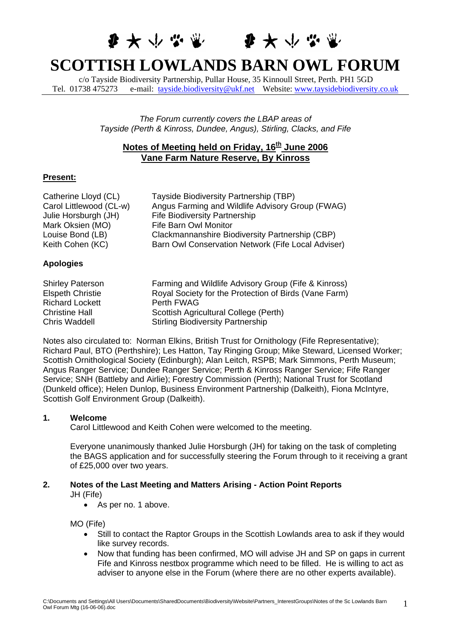# 李大小学堂 李大小学堂 **SCOTTISH LOWLANDS BARN OWL FORUM**

c/o Tayside Biodiversity Partnership, Pullar House, 35 Kinnoull Street, Perth. PH1 5GD Tel. 01738 475273 e-mail: [tayside.biodiversity@ukf.net](mailto:tayside.biodiversity@ukf.net) Website: [www.taysidebiodiversity.co.uk](http://www.taysidebiodiversity.co.uk/)

> *The Forum currently covers the LBAP areas of Tayside (Perth & Kinross, Dundee, Angus), Stirling, Clacks, and Fife*

# **Notes of Meeting held on Friday, 16<sup>th</sup> June 2006 Vane Farm Nature Reserve, By Kinross**

# **Present:**

| Catherine Lloyd (CL)                                                          | Tayside Biodiversity Partnership (TBP)                    |
|-------------------------------------------------------------------------------|-----------------------------------------------------------|
| Carol Littlewood (CL-w)                                                       | Angus Farming and Wildlife Advisory Group (FWAG)          |
| Julie Horsburgh (JH)                                                          | <b>Fife Biodiversity Partnership</b>                      |
| Mark Oksien (MO)                                                              | <b>Fife Barn Owl Monitor</b>                              |
| Louise Bond (LB)                                                              | Clackmannanshire Biodiversity Partnership (CBP)           |
| Keith Cohen (KC)                                                              | Barn Owl Conservation Network (Fife Local Adviser)        |
| <b>Apologies</b>                                                              |                                                           |
| <b>Shirley Paterson</b>                                                       | Farming and Wildlife Advisory Group (Fife & Kinross)      |
| $F_{\text{back}}$ $\Lambda$ $\Lambda$ $\Lambda$ $\Lambda$ $\Lambda$ $\Lambda$ | $D$ aval Casistu for the Dratestian of Direle (Vena Form) |

| Shirley Paterson        | Farming and Wildlife Advisory Group (Fife & Kinross)  |
|-------------------------|-------------------------------------------------------|
| <b>Elspeth Christie</b> | Royal Society for the Protection of Birds (Vane Farm) |
| <b>Richard Lockett</b>  | Perth FWAG                                            |
| <b>Christine Hall</b>   | Scottish Agricultural College (Perth)                 |
| Chris Waddell           | <b>Stirling Biodiversity Partnership</b>              |
|                         |                                                       |

Notes also circulated to: Norman Elkins, British Trust for Ornithology (Fife Representative); Richard Paul, BTO (Perthshire); Les Hatton, Tay Ringing Group; Mike Steward, Licensed Worker; Scottish Ornithological Society (Edinburgh); Alan Leitch, RSPB; Mark Simmons, Perth Museum; Angus Ranger Service; Dundee Ranger Service; Perth & Kinross Ranger Service; Fife Ranger Service; SNH (Battleby and Airlie); Forestry Commission (Perth); National Trust for Scotland (Dunkeld office); Helen Dunlop, Business Environment Partnership (Dalkeith), Fiona McIntyre, Scottish Golf Environment Group (Dalkeith).

# **1. Welcome**

Carol Littlewood and Keith Cohen were welcomed to the meeting.

Everyone unanimously thanked Julie Horsburgh (JH) for taking on the task of completing the BAGS application and for successfully steering the Forum through to it receiving a grant of £25,000 over two years.

# **2. Notes of the Last Meeting and Matters Arising - Action Point Reports**  JH (Fife)

• As per no. 1 above.

MO (Fife)

- Still to contact the Raptor Groups in the Scottish Lowlands area to ask if they would like survey records.
- Now that funding has been confirmed, MO will advise JH and SP on gaps in current Fife and Kinross nestbox programme which need to be filled. He is willing to act as adviser to anyone else in the Forum (where there are no other experts available).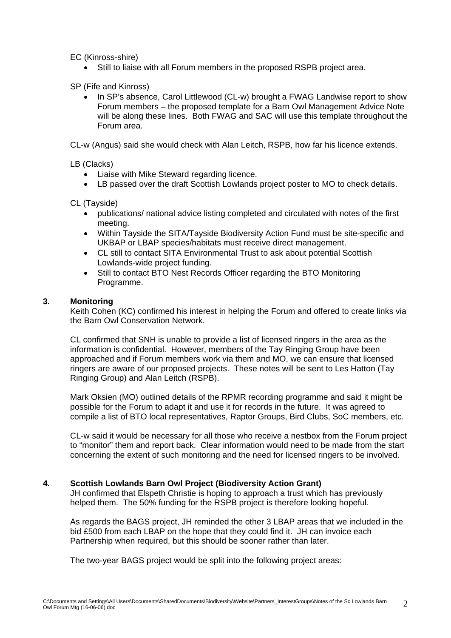EC (Kinross-shire)

• Still to liaise with all Forum members in the proposed RSPB project area.

SP (Fife and Kinross)

In SP's absence, Carol Littlewood (CL-w) brought a FWAG Landwise report to show Forum members – the proposed template for a Barn Owl Management Advice Note will be along these lines. Both FWAG and SAC will use this template throughout the Forum area.

CL-w (Angus) said she would check with Alan Leitch, RSPB, how far his licence extends.

LB (Clacks)

- Liaise with Mike Steward regarding licence.
- LB passed over the draft Scottish Lowlands project poster to MO to check details.

CL (Tayside)

- publications/ national advice listing completed and circulated with notes of the first meeting.
- Within Tayside the SITA/Tayside Biodiversity Action Fund must be site-specific and UKBAP or LBAP species/habitats must receive direct management.
- CL still to contact SITA Environmental Trust to ask about potential Scottish Lowlands-wide project funding.
- Still to contact BTO Nest Records Officer regarding the BTO Monitoring Programme.

### **3. Monitoring**

Keith Cohen (KC) confirmed his interest in helping the Forum and offered to create links via the Barn Owl Conservation Network.

CL confirmed that SNH is unable to provide a list of licensed ringers in the area as the information is confidential. However, members of the Tay Ringing Group have been approached and if Forum members work via them and MO, we can ensure that licensed ringers are aware of our proposed projects. These notes will be sent to Les Hatton (Tay Ringing Group) and Alan Leitch (RSPB).

Mark Oksien (MO) outlined details of the RPMR recording programme and said it might be possible for the Forum to adapt it and use it for records in the future. It was agreed to compile a list of BTO local representatives, Raptor Groups, Bird Clubs, SoC members, etc.

CL-w said it would be necessary for all those who receive a nestbox from the Forum project to "monitor" them and report back. Clear information would need to be made from the start concerning the extent of such monitoring and the need for licensed ringers to be involved.

# **4. Scottish Lowlands Barn Owl Project (Biodiversity Action Grant)**

JH confirmed that Elspeth Christie is hoping to approach a trust which has previously helped them. The 50% funding for the RSPB project is therefore looking hopeful.

As regards the BAGS project, JH reminded the other 3 LBAP areas that we included in the bid £500 from each LBAP on the hope that they could find it. JH can invoice each Partnership when required, but this should be sooner rather than later.

The two-year BAGS project would be split into the following project areas: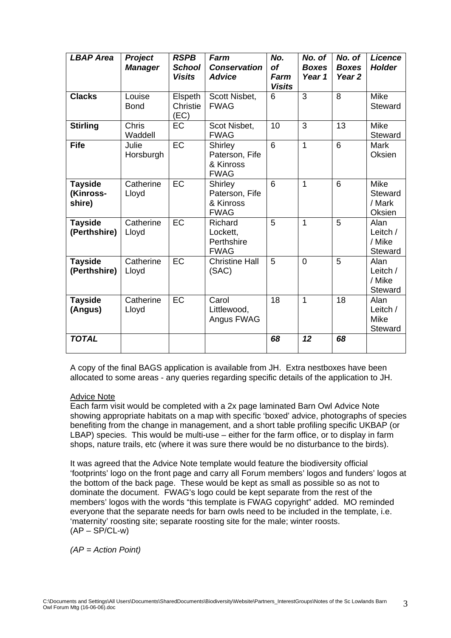| <b>LBAP Area</b>                      | Project<br><b>Manager</b> | <b>RSPB</b><br><b>School</b><br><b>Visits</b> | Farm<br><b>Conservation</b><br><b>Advice</b>          | No.<br><b>of</b><br>Farm<br><b>Visits</b> | No. of<br><b>Boxes</b><br>Year 1 | No. of<br><b>Boxes</b><br>Year <sub>2</sub> | <b>Licence</b><br><b>Holder</b>                   |
|---------------------------------------|---------------------------|-----------------------------------------------|-------------------------------------------------------|-------------------------------------------|----------------------------------|---------------------------------------------|---------------------------------------------------|
| <b>Clacks</b>                         | Louise<br><b>Bond</b>     | Elspeth<br>Christie<br>(EC)                   | Scott Nisbet,<br><b>FWAG</b>                          | 6                                         | 3                                | 8                                           | Mike<br><b>Steward</b>                            |
| <b>Stirling</b>                       | Chris<br>Waddell          | EC                                            | Scot Nisbet,<br><b>FWAG</b>                           | 10                                        | 3                                | 13                                          | <b>Mike</b><br><b>Steward</b>                     |
| <b>Fife</b>                           | Julie<br>Horsburgh        | EC                                            | Shirley<br>Paterson, Fife<br>& Kinross<br><b>FWAG</b> | 6                                         | 1                                | 6                                           | <b>Mark</b><br>Oksien                             |
| <b>Tayside</b><br>(Kinross-<br>shire) | Catherine<br>Lloyd        | $E$ C                                         | Shirley<br>Paterson, Fife<br>& Kinross<br><b>FWAG</b> | $\overline{6}$                            | 1                                | $\overline{6}$                              | <b>Mike</b><br><b>Steward</b><br>/ Mark<br>Oksien |
| <b>Tayside</b><br>(Perthshire)        | Catherine<br>Lloyd        | EC                                            | Richard<br>Lockett.<br>Perthshire<br><b>FWAG</b>      | 5                                         | 1                                | 5                                           | Alan<br>Leitch /<br>/ Mike<br><b>Steward</b>      |
| <b>Tayside</b><br>(Perthshire)        | Catherine<br>Lloyd        | EC                                            | <b>Christine Hall</b><br>(SAC)                        | 5                                         | $\overline{0}$                   | 5                                           | Alan<br>Leitch /<br>/ Mike<br>Steward             |
| <b>Tayside</b><br>(Angus)             | Catherine<br>Lloyd        | $E$ C                                         | Carol<br>Littlewood,<br>Angus FWAG                    | 18                                        | $\mathbf{1}$                     | 18                                          | Alan<br>Leitch /<br>Mike<br>Steward               |
| <b>TOTAL</b>                          |                           |                                               |                                                       | 68                                        | 12                               | 68                                          |                                                   |

A copy of the final BAGS application is available from JH. Extra nestboxes have been allocated to some areas - any queries regarding specific details of the application to JH.

# Advice Note

Each farm visit would be completed with a 2x page laminated Barn Owl Advice Note showing appropriate habitats on a map with specific 'boxed' advice, photographs of species benefiting from the change in management, and a short table profiling specific UKBAP (or LBAP) species. This would be multi-use – either for the farm office, or to display in farm shops, nature trails, etc (where it was sure there would be no disturbance to the birds).

It was agreed that the Advice Note template would feature the biodiversity official 'footprints' logo on the front page and carry all Forum members' logos and funders' logos at the bottom of the back page. These would be kept as small as possible so as not to dominate the document. FWAG's logo could be kept separate from the rest of the members' logos with the words "this template is FWAG copyright" added. MO reminded everyone that the separate needs for barn owls need to be included in the template, i.e. 'maternity' roosting site; separate roosting site for the male; winter roosts.  $(AP - SP/CL-w)$ 

*(AP = Action Point)*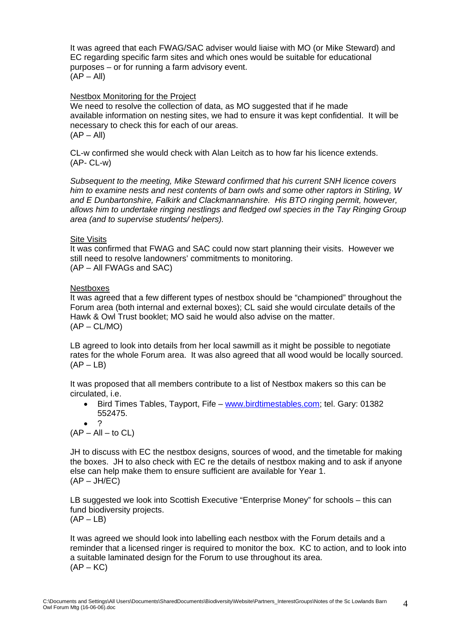It was agreed that each FWAG/SAC adviser would liaise with MO (or Mike Steward) and EC regarding specific farm sites and which ones would be suitable for educational purposes – or for running a farm advisory event.  $(AP - All)$ 

#### Nestbox Monitoring for the Project

We need to resolve the collection of data, as MO suggested that if he made available information on nesting sites, we had to ensure it was kept confidential. It will be necessary to check this for each of our areas.  $(AP - All)$ 

CL-w confirmed she would check with Alan Leitch as to how far his licence extends. (AP- CL-w)

*Subsequent to the meeting, Mike Steward confirmed that his current SNH licence covers him to examine nests and nest contents of barn owls and some other raptors in Stirling, W and E Dunbartonshire, Falkirk and Clackmannanshire. His BTO ringing permit, however, allows him to undertake ringing nestlings and fledged owl species in the Tay Ringing Group area (and to supervise students/ helpers).* 

#### Site Visits

It was confirmed that FWAG and SAC could now start planning their visits. However we still need to resolve landowners' commitments to monitoring. (AP – All FWAGs and SAC)

#### Nestboxes

It was agreed that a few different types of nestbox should be "championed" throughout the Forum area (both internal and external boxes); CL said she would circulate details of the Hawk & Owl Trust booklet; MO said he would also advise on the matter.  $(AP - CL/MO)$ 

LB agreed to look into details from her local sawmill as it might be possible to negotiate rates for the whole Forum area. It was also agreed that all wood would be locally sourced.  $(AP - LB)$ 

It was proposed that all members contribute to a list of Nestbox makers so this can be circulated, i.e.

• Bird Times Tables, Tayport, Fife – [www.birdtimestables.com](http://www.birdtimestables.com/); tel. Gary: 01382 552475.

• ?

 $(AP - All - to CL)$ 

JH to discuss with EC the nestbox designs, sources of wood, and the timetable for making the boxes. JH to also check with EC re the details of nestbox making and to ask if anyone else can help make them to ensure sufficient are available for Year 1.  $(AP - JH/EC)$ 

LB suggested we look into Scottish Executive "Enterprise Money" for schools – this can fund biodiversity projects.  $(AP - LB)$ 

It was agreed we should look into labelling each nestbox with the Forum details and a reminder that a licensed ringer is required to monitor the box. KC to action, and to look into a suitable laminated design for the Forum to use throughout its area.  $(AP - KC)$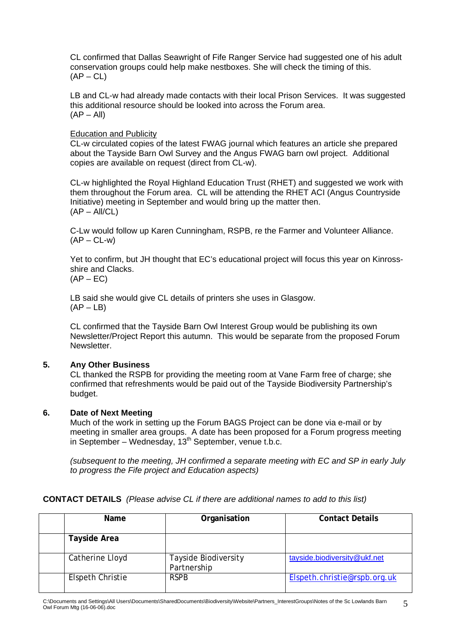CL confirmed that Dallas Seawright of Fife Ranger Service had suggested one of his adult conservation groups could help make nestboxes. She will check the timing of this.  $(AP - CL)$ 

LB and CL-w had already made contacts with their local Prison Services. It was suggested this additional resource should be looked into across the Forum area.  $(AP - All)$ 

# Education and Publicity

CL-w circulated copies of the latest FWAG journal which features an article she prepared about the Tayside Barn Owl Survey and the Angus FWAG barn owl project. Additional copies are available on request (direct from CL-w).

CL-w highlighted the Royal Highland Education Trust (RHET) and suggested we work with them throughout the Forum area. CL will be attending the RHET ACI (Angus Countryside Initiative) meeting in September and would bring up the matter then.  $(AP - All/CL)$ 

C-Lw would follow up Karen Cunningham, RSPB, re the Farmer and Volunteer Alliance.  $(AP - CL-w)$ 

Yet to confirm, but JH thought that EC's educational project will focus this year on Kinrossshire and Clacks.  $(AP - EC)$ 

LB said she would give CL details of printers she uses in Glasgow.

 $(AP - LB)$ 

CL confirmed that the Tayside Barn Owl Interest Group would be publishing its own Newsletter/Project Report this autumn. This would be separate from the proposed Forum Newsletter.

# **5. Any Other Business**

CL thanked the RSPB for providing the meeting room at Vane Farm free of charge; she confirmed that refreshments would be paid out of the Tayside Biodiversity Partnership's budget.

# **6. Date of Next Meeting**

Much of the work in setting up the Forum BAGS Project can be done via e-mail or by meeting in smaller area groups. A date has been proposed for a Forum progress meeting in September – Wednesday,  $13<sup>th</sup>$  September, venue t.b.c.

*(subsequent to the meeting, JH confirmed a separate meeting with EC and SP in early July to progress the Fife project and Education aspects)* 

# **CONTACT DETAILS** *(Please advise CL if there are additional names to add to this list)*

| <b>Name</b>         | Organisation                               | <b>Contact Details</b>       |
|---------------------|--------------------------------------------|------------------------------|
| <b>Tayside Area</b> |                                            |                              |
| Catherine Lloyd     | <b>Tayside Biodiversity</b><br>Partnership | tayside.biodiversity@ukf.net |
| Elspeth Christie    | <b>RSPB</b>                                | Elspeth.christie@rspb.org.uk |